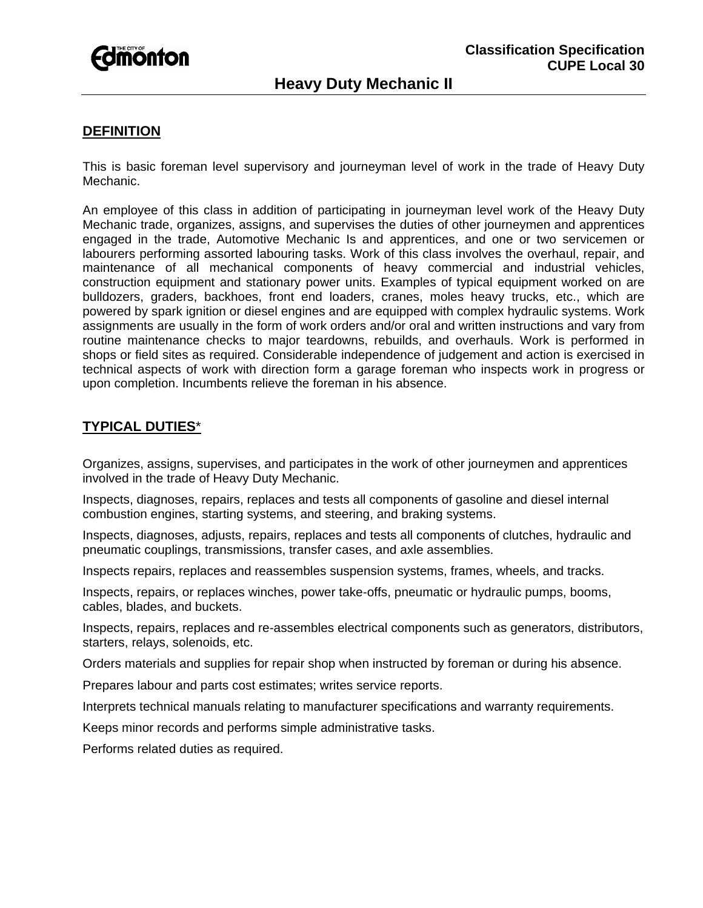

# **DEFINITION**

This is basic foreman level supervisory and journeyman level of work in the trade of Heavy Duty Mechanic.

An employee of this class in addition of participating in journeyman level work of the Heavy Duty Mechanic trade, organizes, assigns, and supervises the duties of other journeymen and apprentices engaged in the trade, Automotive Mechanic Is and apprentices, and one or two servicemen or labourers performing assorted labouring tasks. Work of this class involves the overhaul, repair, and maintenance of all mechanical components of heavy commercial and industrial vehicles, construction equipment and stationary power units. Examples of typical equipment worked on are bulldozers, graders, backhoes, front end loaders, cranes, moles heavy trucks, etc., which are powered by spark ignition or diesel engines and are equipped with complex hydraulic systems. Work assignments are usually in the form of work orders and/or oral and written instructions and vary from routine maintenance checks to major teardowns, rebuilds, and overhauls. Work is performed in shops or field sites as required. Considerable independence of judgement and action is exercised in technical aspects of work with direction form a garage foreman who inspects work in progress or upon completion. Incumbents relieve the foreman in his absence.

# **TYPICAL DUTIES**\*

Organizes, assigns, supervises, and participates in the work of other journeymen and apprentices involved in the trade of Heavy Duty Mechanic.

Inspects, diagnoses, repairs, replaces and tests all components of gasoline and diesel internal combustion engines, starting systems, and steering, and braking systems.

Inspects, diagnoses, adjusts, repairs, replaces and tests all components of clutches, hydraulic and pneumatic couplings, transmissions, transfer cases, and axle assemblies.

Inspects repairs, replaces and reassembles suspension systems, frames, wheels, and tracks.

Inspects, repairs, or replaces winches, power take-offs, pneumatic or hydraulic pumps, booms, cables, blades, and buckets.

Inspects, repairs, replaces and re-assembles electrical components such as generators, distributors, starters, relays, solenoids, etc.

Orders materials and supplies for repair shop when instructed by foreman or during his absence.

Prepares labour and parts cost estimates; writes service reports.

Interprets technical manuals relating to manufacturer specifications and warranty requirements.

Keeps minor records and performs simple administrative tasks.

Performs related duties as required.